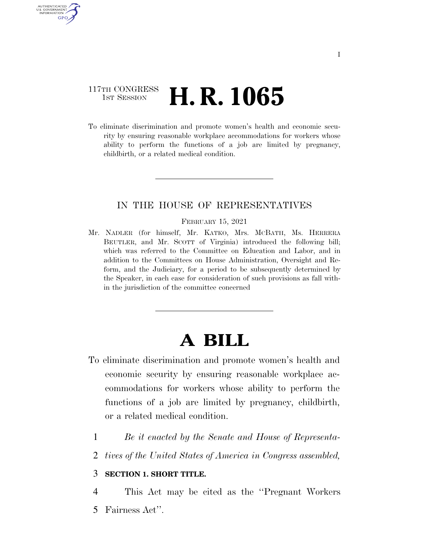### 117TH CONGRESS **1st Session H. R. 1065**

AUTHENTICATED U.S. GOVERNMENT **GPO** 

> To eliminate discrimination and promote women's health and economic security by ensuring reasonable workplace accommodations for workers whose ability to perform the functions of a job are limited by pregnancy, childbirth, or a related medical condition.

### IN THE HOUSE OF REPRESENTATIVES

FEBRUARY 15, 2021

Mr. NADLER (for himself, Mr. KATKO, Mrs. MCBATH, Ms. HERRERA BEUTLER, and Mr. SCOTT of Virginia) introduced the following bill; which was referred to the Committee on Education and Labor, and in addition to the Committees on House Administration, Oversight and Reform, and the Judiciary, for a period to be subsequently determined by the Speaker, in each case for consideration of such provisions as fall within the jurisdiction of the committee concerned

# **A BILL**

- To eliminate discrimination and promote women's health and economic security by ensuring reasonable workplace accommodations for workers whose ability to perform the functions of a job are limited by pregnancy, childbirth, or a related medical condition.
	- 1 *Be it enacted by the Senate and House of Representa-*
	- 2 *tives of the United States of America in Congress assembled,*

### 3 **SECTION 1. SHORT TITLE.**

4 This Act may be cited as the ''Pregnant Workers 5 Fairness Act''.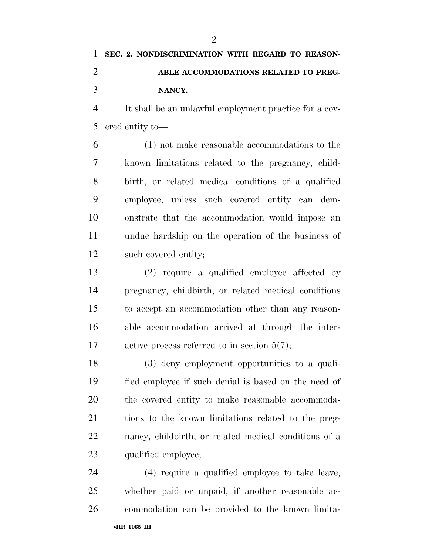$\mathfrak{D}$ 

 It shall be an unlawful employment practice for a cov-ered entity to—

 (1) not make reasonable accommodations to the known limitations related to the pregnancy, child- birth, or related medical conditions of a qualified employee, unless such covered entity can dem- onstrate that the accommodation would impose an undue hardship on the operation of the business of such covered entity;

 (2) require a qualified employee affected by pregnancy, childbirth, or related medical conditions to accept an accommodation other than any reason- able accommodation arrived at through the inter-17 active process referred to in section 5(7);

 (3) deny employment opportunities to a quali- fied employee if such denial is based on the need of the covered entity to make reasonable accommoda- tions to the known limitations related to the preg- nancy, childbirth, or related medical conditions of a qualified employee;

 (4) require a qualified employee to take leave, whether paid or unpaid, if another reasonable ac-commodation can be provided to the known limita-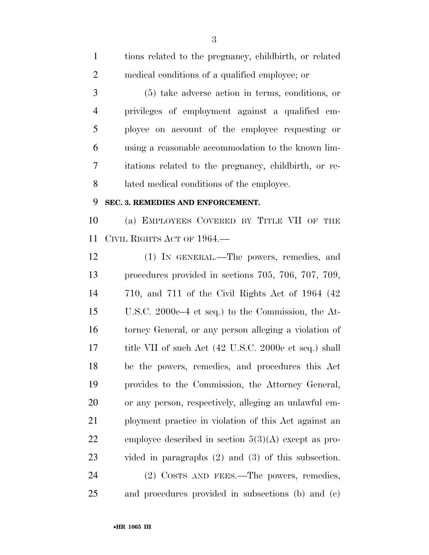| $\mathbf{1}$   | tions related to the pregnancy, childbirth, or related   |
|----------------|----------------------------------------------------------|
| $\overline{2}$ | medical conditions of a qualified employee; or           |
| 3              | $(5)$ take adverse action in terms, conditions, or       |
| $\overline{4}$ | privileges of employment against a qualified em-         |
| 5              | ployee on account of the employee requesting or          |
| 6              | using a reasonable accommodation to the known lim-       |
| 7              | itations related to the pregnancy, childbirth, or re-    |
| 8              | lated medical conditions of the employee.                |
| 9              | SEC. 3. REMEDIES AND ENFORCEMENT.                        |
| 10             | (a) EMPLOYEES COVERED BY TITLE VII OF THE                |
| 11             | CIVIL RIGHTS ACT OF 1964.—                               |
| 12             | (1) IN GENERAL.—The powers, remedies, and                |
| 13             | procedures provided in sections 705, 706, 707, 709,      |
| 14             | $710$ , and $711$ of the Civil Rights Act of 1964 $(42)$ |
| 15             | U.S.C. 2000e–4 et seq.) to the Commission, the At-       |
| 16             | torney General, or any person alleging a violation of    |
| 17             | title VII of such Act (42 U.S.C. 2000e et seq.) shall    |
| 18             | be the powers, remedies, and procedures this Act         |
| 19             | provides to the Commission, the Attorney General,        |
| 20             | or any person, respectively, alleging an unlawful em-    |
| 21             | ployment practice in violation of this Act against an    |
| 22             | employee described in section $5(3)(A)$ except as pro-   |
| 23             | vided in paragraphs $(2)$ and $(3)$ of this subsection.  |
| 24             | (2) COSTS AND FEES.—The powers, remedies,                |
| $25\,$         | and procedures provided in subsections (b) and (c)       |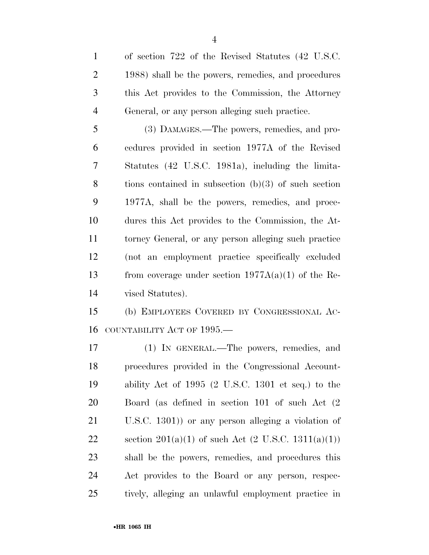of section 722 of the Revised Statutes (42 U.S.C. 1988) shall be the powers, remedies, and procedures this Act provides to the Commission, the Attorney General, or any person alleging such practice. (3) DAMAGES.—The powers, remedies, and pro- cedures provided in section 1977A of the Revised Statutes (42 U.S.C. 1981a), including the limita- tions contained in subsection (b)(3) of such section 1977A, shall be the powers, remedies, and proce- dures this Act provides to the Commission, the At- torney General, or any person alleging such practice (not an employment practice specifically excluded 13 from coverage under section  $1977A(a)(1)$  of the Re- vised Statutes). (b) EMPLOYEES COVERED BY CONGRESSIONAL AC-16 COUNTABILITY ACT OF 1995.

 (1) IN GENERAL.—The powers, remedies, and procedures provided in the Congressional Account- ability Act of 1995 (2 U.S.C. 1301 et seq.) to the Board (as defined in section 101 of such Act (2 U.S.C. 1301)) or any person alleging a violation of 22 section  $201(a)(1)$  of such Act  $(2 \text{ U.S.C. } 1311(a)(1))$  shall be the powers, remedies, and procedures this Act provides to the Board or any person, respec-tively, alleging an unlawful employment practice in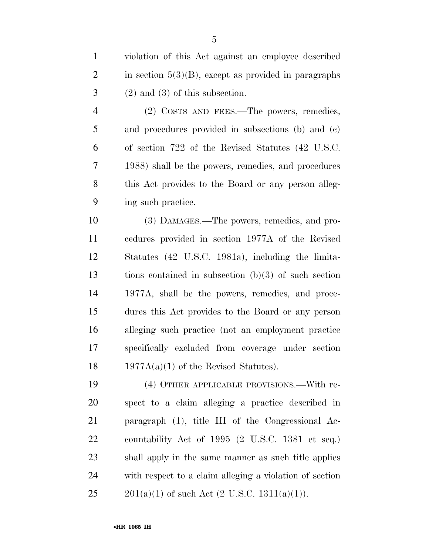(2) COSTS AND FEES.—The powers, remedies, and procedures provided in subsections (b) and (c) of section 722 of the Revised Statutes (42 U.S.C. 1988) shall be the powers, remedies, and procedures this Act provides to the Board or any person alleg-ing such practice.

 (3) DAMAGES.—The powers, remedies, and pro- cedures provided in section 1977A of the Revised Statutes (42 U.S.C. 1981a), including the limita- tions contained in subsection (b)(3) of such section 1977A, shall be the powers, remedies, and proce- dures this Act provides to the Board or any person alleging such practice (not an employment practice specifically excluded from coverage under section  $1977A(a)(1)$  of the Revised Statutes).

 (4) OTHER APPLICABLE PROVISIONS.—With re- spect to a claim alleging a practice described in paragraph (1), title III of the Congressional Ac- countability Act of 1995 (2 U.S.C. 1381 et seq.) shall apply in the same manner as such title applies with respect to a claim alleging a violation of section 25 201(a)(1) of such Act  $(2 \text{ U.S.C. } 1311(a)(1))$ .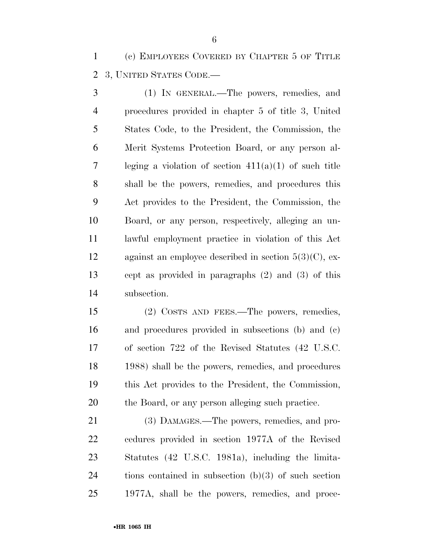(c) EMPLOYEES COVERED BY CHAPTER 5 OF TITLE 3, UNITED STATES CODE.—

 (1) IN GENERAL.—The powers, remedies, and procedures provided in chapter 5 of title 3, United States Code, to the President, the Commission, the Merit Systems Protection Board, or any person al- leging a violation of section 411(a)(1) of such title shall be the powers, remedies, and procedures this Act provides to the President, the Commission, the Board, or any person, respectively, alleging an un- lawful employment practice in violation of this Act 12 against an employee described in section  $5(3)(C)$ , ex- cept as provided in paragraphs (2) and (3) of this subsection.

 (2) COSTS AND FEES.—The powers, remedies, and procedures provided in subsections (b) and (c) of section 722 of the Revised Statutes (42 U.S.C. 1988) shall be the powers, remedies, and procedures this Act provides to the President, the Commission, the Board, or any person alleging such practice.

 (3) DAMAGES.—The powers, remedies, and pro- cedures provided in section 1977A of the Revised Statutes (42 U.S.C. 1981a), including the limita- tions contained in subsection (b)(3) of such section 1977A, shall be the powers, remedies, and proce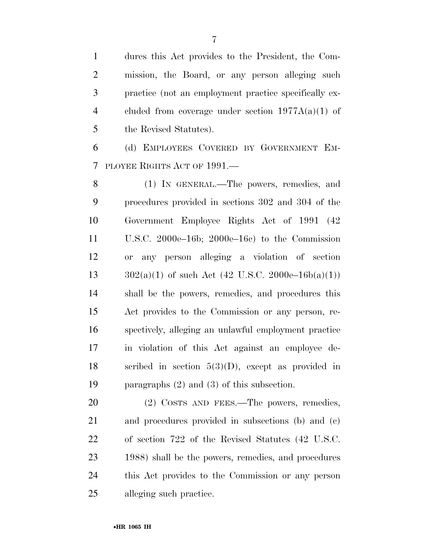dures this Act provides to the President, the Com- mission, the Board, or any person alleging such practice (not an employment practice specifically ex- cluded from coverage under section 1977A(a)(1) of the Revised Statutes).

 (d) EMPLOYEES COVERED BY GOVERNMENT EM-PLOYEE RIGHTS ACT OF 1991.—

 (1) IN GENERAL.—The powers, remedies, and procedures provided in sections 302 and 304 of the Government Employee Rights Act of 1991 (42 U.S.C. 2000e–16b; 2000e–16c) to the Commission or any person alleging a violation of section  $302(a)(1)$  of such Act (42 U.S.C. 2000e–16b(a)(1)) shall be the powers, remedies, and procedures this Act provides to the Commission or any person, re- spectively, alleging an unlawful employment practice in violation of this Act against an employee de-18 scribed in section  $5(3)(D)$ , except as provided in paragraphs (2) and (3) of this subsection.

20 (2) COSTS AND FEES.—The powers, remedies, and procedures provided in subsections (b) and (c) of section 722 of the Revised Statutes (42 U.S.C. 1988) shall be the powers, remedies, and procedures this Act provides to the Commission or any person alleging such practice.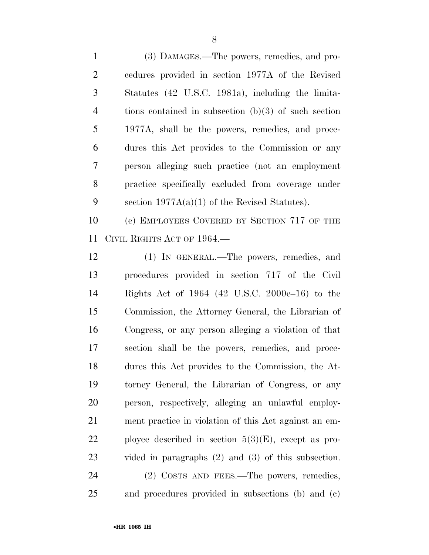(3) DAMAGES.—The powers, remedies, and pro- cedures provided in section 1977A of the Revised Statutes (42 U.S.C. 1981a), including the limita- tions contained in subsection (b)(3) of such section 1977A, shall be the powers, remedies, and proce- dures this Act provides to the Commission or any person alleging such practice (not an employment practice specifically excluded from coverage under section 1977A(a)(1) of the Revised Statutes).

 (e) EMPLOYEES COVERED BY SECTION 717 OF THE CIVIL RIGHTS ACT OF 1964.—

 (1) IN GENERAL.—The powers, remedies, and procedures provided in section 717 of the Civil Rights Act of 1964 (42 U.S.C. 2000e–16) to the Commission, the Attorney General, the Librarian of Congress, or any person alleging a violation of that section shall be the powers, remedies, and proce- dures this Act provides to the Commission, the At- torney General, the Librarian of Congress, or any person, respectively, alleging an unlawful employ- ment practice in violation of this Act against an em-22 ployee described in section  $5(3)(E)$ , except as pro- vided in paragraphs (2) and (3) of this subsection. 24 (2) COSTS AND FEES.—The powers, remedies,

and procedures provided in subsections (b) and (c)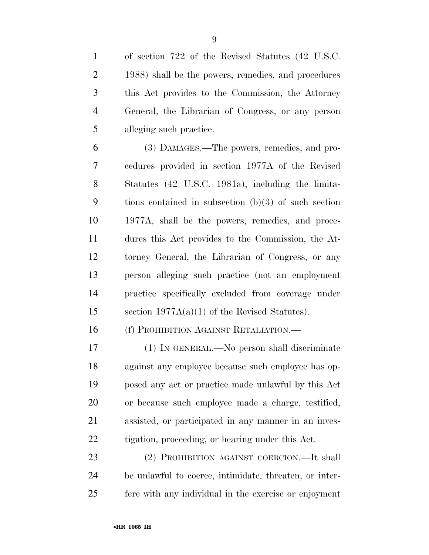of section 722 of the Revised Statutes (42 U.S.C. 1988) shall be the powers, remedies, and procedures this Act provides to the Commission, the Attorney General, the Librarian of Congress, or any person alleging such practice.

 (3) DAMAGES.—The powers, remedies, and pro- cedures provided in section 1977A of the Revised Statutes (42 U.S.C. 1981a), including the limita- tions contained in subsection (b)(3) of such section 1977A, shall be the powers, remedies, and proce- dures this Act provides to the Commission, the At- torney General, the Librarian of Congress, or any person alleging such practice (not an employment practice specifically excluded from coverage under section 1977A(a)(1) of the Revised Statutes).

(f) PROHIBITION AGAINST RETALIATION.—

 (1) IN GENERAL.—No person shall discriminate against any employee because such employee has op- posed any act or practice made unlawful by this Act or because such employee made a charge, testified, assisted, or participated in any manner in an inves-tigation, proceeding, or hearing under this Act.

 (2) PROHIBITION AGAINST COERCION.—It shall be unlawful to coerce, intimidate, threaten, or inter-fere with any individual in the exercise or enjoyment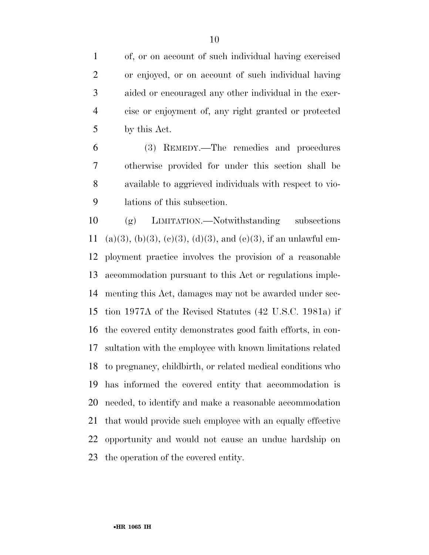of, or on account of such individual having exercised or enjoyed, or on account of such individual having aided or encouraged any other individual in the exer- cise or enjoyment of, any right granted or protected by this Act.

 (3) REMEDY.—The remedies and procedures otherwise provided for under this section shall be available to aggrieved individuals with respect to vio-lations of this subsection.

 (g) LIMITATION.—Notwithstanding subsections 11 (a)(3), (b)(3), (c)(3), (d)(3), and (e)(3), if an unlawful em- ployment practice involves the provision of a reasonable accommodation pursuant to this Act or regulations imple- menting this Act, damages may not be awarded under sec- tion 1977A of the Revised Statutes (42 U.S.C. 1981a) if the covered entity demonstrates good faith efforts, in con- sultation with the employee with known limitations related to pregnancy, childbirth, or related medical conditions who has informed the covered entity that accommodation is needed, to identify and make a reasonable accommodation that would provide such employee with an equally effective opportunity and would not cause an undue hardship on the operation of the covered entity.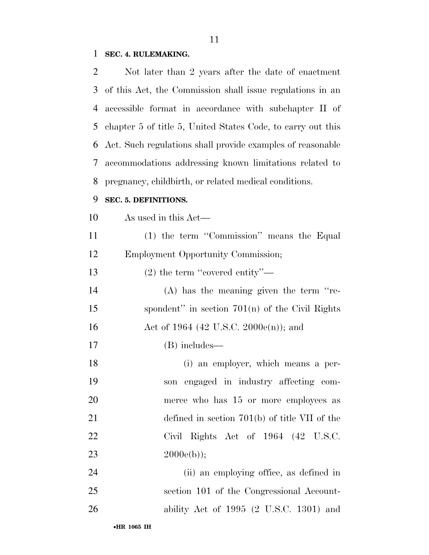## **SEC. 4. RULEMAKING.**

| 2  | Not later than 2 years after the date of enactment          |
|----|-------------------------------------------------------------|
| 3  | of this Act, the Commission shall issue regulations in an   |
| 4  | accessible format in accordance with subchapter II of       |
| 5  | chapter 5 of title 5, United States Code, to carry out this |
| 6  | Act. Such regulations shall provide examples of reasonable  |
| 7  | accommodations addressing known limitations related to      |
| 8  | pregnancy, childbirth, or related medical conditions.       |
| 9  | SEC. 5. DEFINITIONS.                                        |
| 10 | As used in this Act—                                        |
| 11 | (1) the term "Commission" means the Equal                   |
| 12 | <b>Employment Opportunity Commission;</b>                   |
| 13 | (2) the term "covered entity"—                              |
| 14 | $(A)$ has the meaning given the term "re-                   |
| 15 | spondent" in section $701(n)$ of the Civil Rights           |
| 16 | Act of 1964 (42 U.S.C. 2000 $e(n)$ ); and                   |
| 17 | (B) includes—                                               |
| 18 | (i) an employer, which means a per-                         |
| 19 | son engaged in industry affecting com-                      |
| 20 | merce who has 15 or more employees as                       |
| 21 | defined in section $701(b)$ of title VII of the             |
| 22 | Civil Rights Act of 1964 (42 U.S.C.                         |
| 23 | $2000e(b)$ ;                                                |
| 24 | (ii) an employing office, as defined in                     |
| 25 | section 101 of the Congressional Account-                   |
| 26 | ability Act of $1995$ (2 U.S.C. 1301) and                   |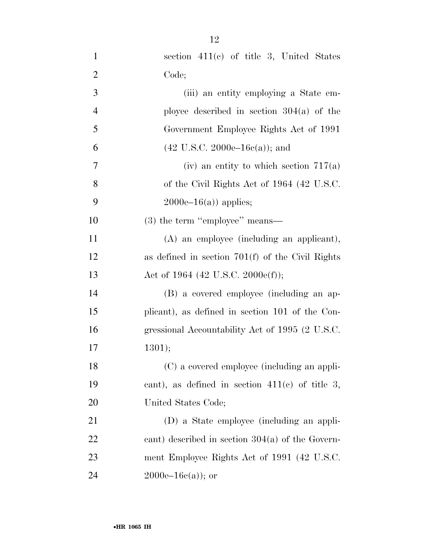| $\mathbf{1}$   | section 411(c) of title 3, United States           |
|----------------|----------------------------------------------------|
| $\overline{2}$ | Code;                                              |
| 3              | (iii) an entity employing a State em-              |
| $\overline{4}$ | ployee described in section $304(a)$ of the        |
| 5              | Government Employee Rights Act of 1991             |
| 6              | $(42 \text{ U.S.C. } 2000e-16c(a))$ ; and          |
| $\tau$         | (iv) an entity to which section $717(a)$           |
| 8              | of the Civil Rights Act of 1964 (42 U.S.C.         |
| 9              | $2000e-16(a)$ applies;                             |
| 10             | $(3)$ the term "employee" means—                   |
| 11             | (A) an employee (including an applicant),          |
| 12             | as defined in section $701(f)$ of the Civil Rights |
| 13             | Act of 1964 (42 U.S.C. 2000e(f));                  |
| 14             | (B) a covered employee (including an ap-           |
| 15             | plicant), as defined in section 101 of the Con-    |
| 16             | gressional Accountability Act of 1995 (2 U.S.C.    |
| 17             | 1301);                                             |
| 18             | (C) a covered employee (including an appli-        |
| 19             | cant), as defined in section $411(c)$ of title 3,  |
| 20             | United States Code;                                |
| 21             | (D) a State employee (including an appli-          |
| 22             | cant) described in section $304(a)$ of the Govern- |
| 23             | ment Employee Rights Act of 1991 (42 U.S.C.        |
| 24             | $2000e-16c(a)$ ; or                                |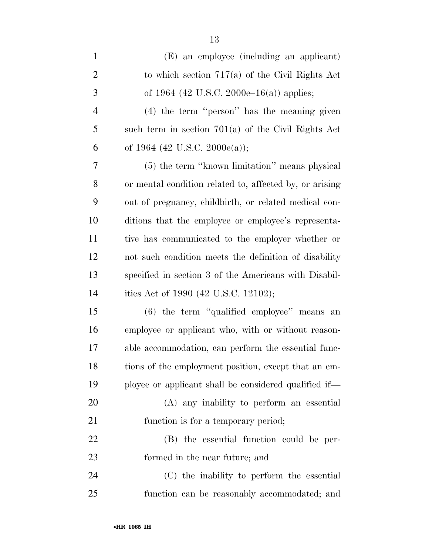| $\mathbf{1}$   | (E) an employee (including an applicant)                |
|----------------|---------------------------------------------------------|
| $\overline{2}$ | to which section $717(a)$ of the Civil Rights Act       |
| 3              | of 1964 (42 U.S.C. 2000e–16(a)) applies;                |
| $\overline{4}$ | (4) the term "person" has the meaning given             |
| 5              | such term in section $701(a)$ of the Civil Rights Act   |
| 6              | of 1964 (42 U.S.C. 2000 $e$ (a));                       |
| $\overline{7}$ | (5) the term "known limitation" means physical          |
| 8              | or mental condition related to, affected by, or arising |
| 9              | out of pregnancy, childbirth, or related medical con-   |
| 10             | ditions that the employee or employee's representa-     |
| 11             | tive has communicated to the employer whether or        |
| 12             | not such condition meets the definition of disability   |
| 13             | specified in section 3 of the Americans with Disabil-   |
| 14             | ities Act of 1990 (42 U.S.C. 12102);                    |
| 15             | (6) the term "qualified employee" means an              |
| 16             | employee or applicant who, with or without reason-      |
| 17             | able accommodation, can perform the essential func-     |
| 18             | tions of the employment position, except that an em-    |
| 19             | ployee or applicant shall be considered qualified if—   |
| 20             | (A) any inability to perform an essential               |
| 21             | function is for a temporary period;                     |
| 22             | (B) the essential function could be per-                |
| 23             | formed in the near future; and                          |
| 24             | (C) the inability to perform the essential              |
| 25             | function can be reasonably accommodated; and            |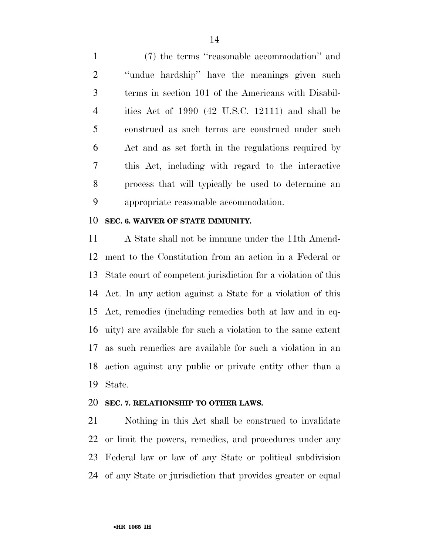(7) the terms ''reasonable accommodation'' and ''undue hardship'' have the meanings given such terms in section 101 of the Americans with Disabil- ities Act of 1990 (42 U.S.C. 12111) and shall be construed as such terms are construed under such Act and as set forth in the regulations required by this Act, including with regard to the interactive process that will typically be used to determine an appropriate reasonable accommodation.

### **SEC. 6. WAIVER OF STATE IMMUNITY.**

 A State shall not be immune under the 11th Amend- ment to the Constitution from an action in a Federal or State court of competent jurisdiction for a violation of this Act. In any action against a State for a violation of this Act, remedies (including remedies both at law and in eq- uity) are available for such a violation to the same extent as such remedies are available for such a violation in an action against any public or private entity other than a State.

#### **SEC. 7. RELATIONSHIP TO OTHER LAWS.**

 Nothing in this Act shall be construed to invalidate or limit the powers, remedies, and procedures under any Federal law or law of any State or political subdivision of any State or jurisdiction that provides greater or equal